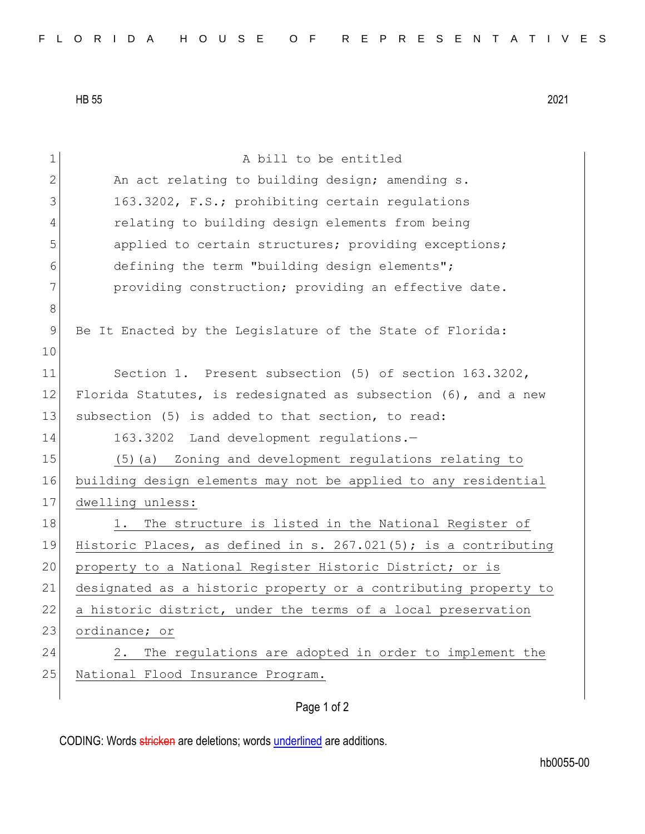HB 55 2021

| $\mathbf 1$  | A bill to be entitled                                           |
|--------------|-----------------------------------------------------------------|
| $\mathbf{2}$ | An act relating to building design; amending s.                 |
| 3            | 163.3202, F.S.; prohibiting certain regulations                 |
| 4            | relating to building design elements from being                 |
| 5            | applied to certain structures; providing exceptions;            |
| 6            | defining the term "building design elements";                   |
| 7            | providing construction; providing an effective date.            |
| $8\,$        |                                                                 |
| $\mathsf 9$  | Be It Enacted by the Legislature of the State of Florida:       |
| 10           |                                                                 |
| 11           | Section 1. Present subsection (5) of section 163.3202,          |
| 12           | Florida Statutes, is redesignated as subsection (6), and a new  |
| 13           | subsection (5) is added to that section, to read:               |
| 14           | 163.3202 Land development regulations.-                         |
| 15           | (5) (a) Zoning and development regulations relating to          |
| 16           | building design elements may not be applied to any residential  |
| 17           | dwelling unless:                                                |
| 18           | The structure is listed in the National Register of<br>1.       |
| 19           | Historic Places, as defined in s. 267.021(5); is a contributing |
| 20           | property to a National Register Historic District; or is        |
| 21           | designated as a historic property or a contributing property to |
| 22           | a historic district, under the terms of a local preservation    |
| 23           | ordinance; or                                                   |
| 24           | The regulations are adopted in order to implement the<br>2.     |
| 25           | National Flood Insurance Program.                               |
|              |                                                                 |

Page 1 of 2

CODING: Words stricken are deletions; words underlined are additions.